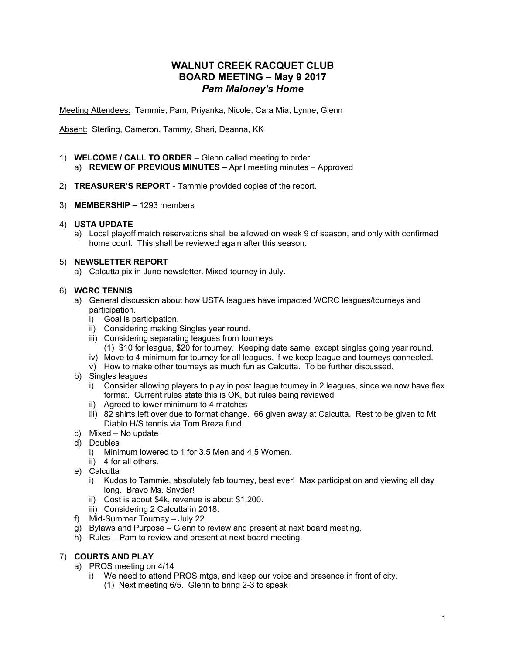# **WALNUT CREEK RACQUET CLUB BOARD MEETING – May 9 2017** *Pam Maloney's Home*

Meeting Attendees: Tammie, Pam, Priyanka, Nicole, Cara Mia, Lynne, Glenn

Absent: Sterling, Cameron, Tammy, Shari, Deanna, KK

- 1) **WELCOME / CALL TO ORDER** Glenn called meeting to order a) **REVIEW OF PREVIOUS MINUTES –** April meeting minutes – Approved
- 2) **TREASURER'S REPORT** Tammie provided copies of the report.
- 3) **MEMBERSHIP –** 1293 members

### 4) **USTA UPDATE**

a) Local playoff match reservations shall be allowed on week 9 of season, and only with confirmed home court. This shall be reviewed again after this season.

### 5) **NEWSLETTER REPORT**

a) Calcutta pix in June newsletter. Mixed tourney in July.

### 6) **WCRC TENNIS**

- a) General discussion about how USTA leagues have impacted WCRC leagues/tourneys and participation.
	- i) Goal is participation.
	- ii) Considering making Singles year round.
	- iii) Considering separating leagues from tourneys
		- (1) \$10 for league, \$20 for tourney. Keeping date same, except singles going year round.
	- iv) Move to 4 minimum for tourney for all leagues, if we keep league and tourneys connected.
	- v) How to make other tourneys as much fun as Calcutta. To be further discussed.
- b) Singles leagues
	- i) Consider allowing players to play in post league tourney in 2 leagues, since we now have flex format. Current rules state this is OK, but rules being reviewed
	- ii) Agreed to lower minimum to 4 matches
	- iii) 82 shirts left over due to format change. 66 given away at Calcutta. Rest to be given to Mt Diablo H/S tennis via Tom Breza fund.
- c) Mixed No update
- d) Doubles
	- i) Minimum lowered to 1 for 3.5 Men and 4.5 Women.
	- ii) 4 for all others.
- e) Calcutta
	- i) Kudos to Tammie, absolutely fab tourney, best ever! Max participation and viewing all day long. Bravo Ms. Snyder!
	- ii) Cost is about \$4k, revenue is about \$1,200.
	- iii) Considering 2 Calcutta in 2018.
- f) Mid-Summer Tourney July 22.
- g) Bylaws and Purpose Glenn to review and present at next board meeting.
- h) Rules Pam to review and present at next board meeting.

# 7) **COURTS AND PLAY**

- a) PROS meeting on 4/14
	- i) We need to attend PROS mtgs, and keep our voice and presence in front of city.
		- (1) Next meeting 6/5. Glenn to bring 2-3 to speak